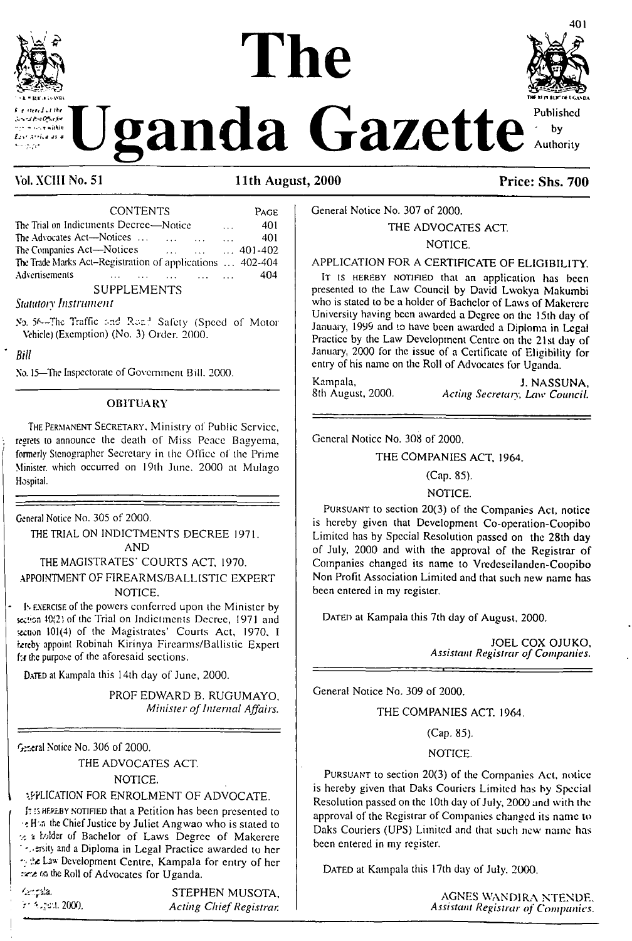

**Z Pro Office for** communication Arriva as a

Published

 $by$ 

401

anda Gazette Authority

### Vol. XCIII No. 51

### 11th August, 2000

| <b>CONTENTS</b>                                                                              |          | PAGE |
|----------------------------------------------------------------------------------------------|----------|------|
| The Trial on Indictments Decree-Notice                                                       | $\cdots$ | 401  |
| The Advocates Act—Notices                                                                    | $\cdots$ | 401  |
| The Companies Act-Notices<br>$\ldots$ $\ldots$ $\ldots$ 401-402                              |          |      |
| The Trade Marks Act-Registration of applications  402-404                                    |          |      |
| Advertisements<br>$\mathbf{r}$ and $\mathbf{r}$ are the set of $\mathbf{r}$ and $\mathbf{r}$ |          | 404  |
| <b>SUPPLEMENTS</b>                                                                           |          |      |

**Statutory Instrument** 

No. 56-The Traffic and Road Safety (Speed of Motor Vehicle) (Exemption) (No. 3) Order, 2000.

Bill

No. 15-The Inspectorate of Government Bill. 2000.

#### **OBITUARY**

THE PERMANENT SECRETARY, Ministry of Public Service, regrets to announce the death of Miss Peace Bagyema, formerly Stenographer Secretary in the Office of the Prime Minister, which occurred on 19th June. 2000 at Mulago Hospital.

General Notice No. 305 of 2000.

THE TRIAL ON INDICTMENTS DECREE 1971. **AND** 

THE MAGISTRATES' COURTS ACT. 1970.

APPOINTMENT OF FIREARMS/BALLISTIC EXPERT NOTICE.

Is EXERCISE of the powers conferred upon the Minister by section 40(2) of the Trial on Indictments Decree, 1971 and section 101(4) of the Magistrates' Courts Act, 1970, I izreby appoint Robinah Kirinya Firearms/Ballistic Expert far the purpose of the aforesaid sections.

DATED at Kampala this 14th day of June, 2000.

PROF EDWARD B. RUGUMAYO, Minister of Internal Affairs.

General Notice No. 306 of 2000.

THE ADVOCATES ACT.

NOTICE.

### : FPLICATION FOR ENROLMENT OF ADVOCATE.

It is HEREBY NOTIFIED that a Petition has been presented to of Han the Chief Justice by Juliet Angwao who is stated to to a holder of Bachelor of Laws Degree of Makerere " : . ersity and a Diploma in Legal Practice awarded to her the Law Development Centre, Kampala for entry of her rice on the Roll of Advocates for Uganda.

Kengala. Fr. 81gaut. 2000.

STEPHEN MUSOTA, **Acting Chief Registrar.** 

# General Notice No. 307 of 2000.

## THE ADVOCATES ACT. NOTICE.

### APPLICATION FOR A CERTIFICATE OF ELIGIBILITY.

IT IS HEREBY NOTIFIED that an application has been presented to the Law Council by David Lwokya Makumbi who is stated to be a holder of Bachelor of Laws of Makerere University having been awarded a Degree on the 15th day of January, 1999 and to have been awarded a Diploma in Legal Practice by the Law Development Centre on the 21st day of January, 2000 for the issue of a Certificate of Eligibility for entry of his name on the Roll of Advocates for Uganda.

Kampala, 8th August, 2000.

J. NASSUNA. Acting Secretary, Law Council.

General Notice No. 308 of 2000.

#### THE COMPANIES ACT, 1964.

(Cap. 85).

#### NOTICE.

PURSUANT to section 20(3) of the Companies Act, notice is hereby given that Development Co-operation-Coopibo Limited has by Special Resolution passed on the 28th day of July, 2000 and with the approval of the Registrar of Companies changed its name to Vredeseilanden-Coopibo Non Profit Association Limited and that such new name has been entered in my register.

DATED at Kampala this 7th day of August, 2000.

JOEL COX OJUKO, Assistant Registrar of Companies.

General Notice No. 309 of 2000.

THE COMPANIES ACT. 1964.

(Cap. 85).

NOTICE.

PURSUANT to section 20(3) of the Companies Act, notice is hereby given that Daks Couriers Limited has by Special Resolution passed on the 10th day of July, 2000 and with the approval of the Registrar of Companies changed its name to Daks Couriers (UPS) Limited and that such new name has been entered in my register.

DATED at Kampala this 17th day of July, 2000.

**AGNES WANDIRA NTENDE.**<br>Assistant Registrar of Companies.

Price: Shs. 700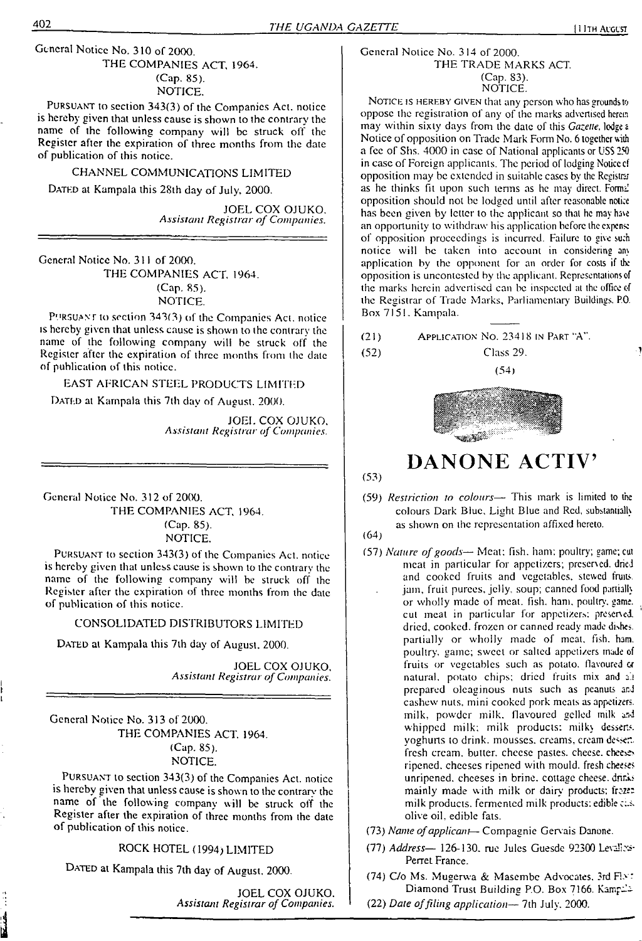#### General Notice No. 310 of 2000. THE COMPANIES ACT, 1964. (Cap. 85). NOTICE.

Pursuant to section 343(3) of the Companies Act. notice is hereby given that unless cause is shown to the contrary the name of the following company will be struck off the Register after lhe expiration of three months from the date of publication of this notice.

#### CHANNEL COMMUNICATIONS LIMITED

DATED at Kampala this 28th day of July, 2000.

JOEL COX OJUKO. *Assistant Registrar ofCompanies.*

General Notice No. 311 of 2000.

THE COMPANIES ACT. 1964. (Cap. 85). NOTICE.

Pursuant to section 343(3) of the Companies Act. notice is hereby given that unless cause is shown to lhe contrary the name of the following company will be struck off the Register after the expiration of three months from the date of publication of this notice.

EAST AFRICAN STEEL PRODUCTS LIMITED DATED at Kampala this 7th day of August. 2000.

> JOEL COX OJUKO. *Assistant Registrar ofCompanies.*

General Notice No. 312 of 2000. THE COMPANIES ACT. 1964. (Cap. 85).

NOTICE.

Pursuant to section 343(3) of lhe Companies Act. notice is hereby given that unless cause is shown to the contrary the name of the following company will be struck off the Register after the expiration of three months from the date of publication of this notice.

#### CONSOLIDATED DISTRIBUTORS LIMITED

DATED at Kampala this 7th day of August, 2000.

JOEL COX OJUKO. *Assistant Registrar ofCompanies.*

General Notice No. 313 of 2000. THE COMPANIES ACT. 1964. (Cap. 85). NOTICE.

Pursuant to section 343(3) of the Companies Act. notice is hereby given that unless cause is shown to the contrary the name of the following company will be struck off the Register after the expiration of three months from the date of publication of this notice.

ROCK HOTEL (1994) LIMITED

DATED at Kampala this 7th day of August, 2000.

JOEL COX OJUKO. *Assistant Registrar ofCompanies.*

#### General Notice No. 314 of 2000. THE TRADE MARKS ACT. (Cap. 83). NOTICE.

NOTICE IS HEREBY GIVEN that any person who has grounds to oppose the registration of any of the marks advertised herein may within sixty days from the date of this *Gazette,* lodges Notice of opposition on Trade Mark Form No. 6 together with a fee of Shs. 4000 in case of National applicants or USS <sup>250</sup> in case of Foreign applicants. The period of lodging Notice of opposition may be extended in suitable cases by the Registrar as he thinks fit upon such terms as he may direct. Formal opposition should not be lodged until after reasonable notice has been given by letter to the applicant so that he may have an opportunity to withdraw his application before the expense of opposition proceedings is incurred. Failure to give such notice will be taken into account in considering any application by the opponent for an order for costs if the opposition is uncontcstcd by the applicant. Representations of the marks herein advertised can be inspected at the office of the Registrar of Trade Marks, Parliamentary Buildings. P.O. Box 7151. Kampala.

(21) Application No. 23418 in Part "A".



Class 29.



# **DANONE ACTIV'**

(53)

 $(52)$ 

(59) *Restriction to colours—* This mark is limited to the (64) colours Dark Blue, Light Blue and Red, substantially as shown on the representation affixed hereto.

- 
- (57) *Nature ofgoods—* Meat: fish, ham: poultry; game; cut meat in particular for appetizers; preserved, dried and cooked fruits and vegetables, stewed fruits, jam, fruit purees, jelly, soup; canned food partially or wholly made of meat. fish. ham. poultry, game, cut meat in particular for appetizers; preserved, dried, cooked, frozen or canned ready made dishes, partially or wholly made of meat, fish. ham. poultry, game; sweet or salted appetizers made of fruits or vegetables such as potato, flavoured  $\alpha$ natural, potato chips; dried fruits mix and all prepared oleaginous nuts such as peanuts and cashew nuts, mini cooked pork meats as appetizers, milk, powder milk, flavoured gelled milk and whipped milk: milk products: milky desserts, yoghurts to drink, mousses, creams, cream dessertfresh cream, butter, cheese pastes, cheese, cheeses ripened, cheeses ripened with mould, fresh cheeses unripened, cheeses in brine, cottage cheese, drinks mainly made with milk or dairy products; froze: milk products, fermented milk products; edible ci.s. olive oil, edible fats.
- (73) *Name ofapplicant—* Compagnie Gervais Danone.
- (77) *Address—* 126-130. rue Jules Guesde 92300 Leva!'?^- Perret France.
- (74) C/o Ms. Mugerwa & Masembe Advocates, 3rd Flott Diamond Trust Building P.O. Box 7166. Kamp-'-
- (22) *Date offiling application—* 7th July. 2000.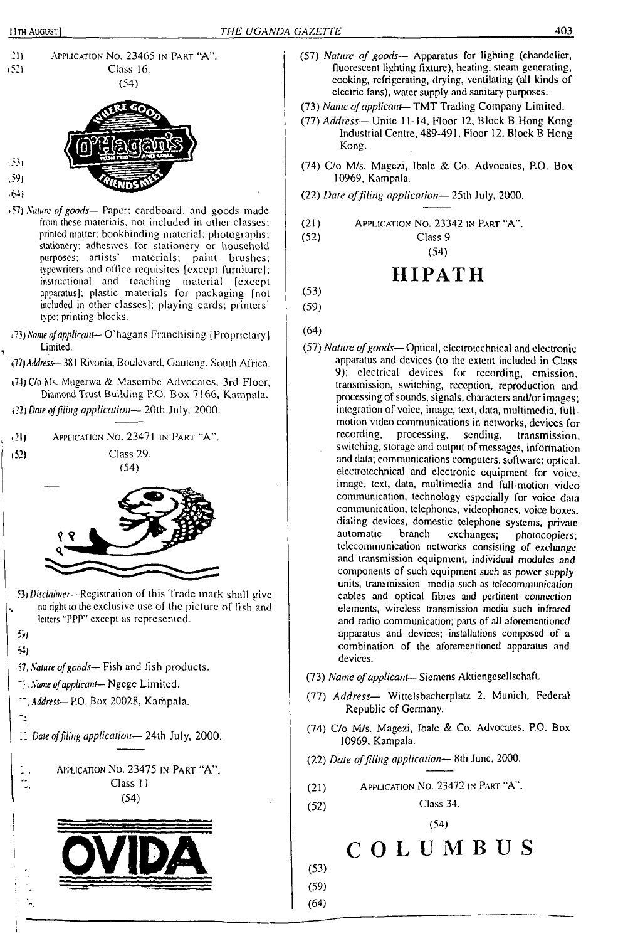



روي **• £4>**

 $(53)$ 

- •57) *Nature ofgoods—* Paper: cardboard, and goods made from these materials, not included in other classes; printed matter; bookbinding material; photographs; stationery; adhesives for stationery or household purposes; artists' materials; paint brushes; typewriters and office requisites [except furniture]; instructional and teaching material [except apparatus]; plastic materials for packaging (not included in other classes]; playing cards; printers' type; printing blocks.
- *Name ofapplicant—* O'hagans Franchising [Proprietary] Limited.
- *(ll)A'Jdress—* 381 Rivonia. Boulevard. Gauteng, South Africa.
- i74) C/o Ms. Mugerwa & Masembe Advocates, 3rd Floor, Diamond Trust Building P.O. Box 7166, Kampala.

*Date offiling application—* 20lh July, 2000.

 $(21)$ APPLICATION NO. 23471 IN PART "A".  $(52)$ Class 29.  $(54)$ 

- 53) *Disclaimer—*Registration of this Trade mark shall give no right to lhe exclusive use of the picture of fish and letters "PPP" except as represented.
- $51$ **M)**
- <sup>57</sup>*<sup>1</sup> Nature ofgoods—*Fish and fish products.
- *, Name ofapplicant—* Ngcgc Limited.
- *", Address—* P.O. Box 20028, Kampala.
- $\mathbb{Z}_2^2$

Ξ,

*" Date offiling application—* 24th July, 2000.

<sup>A</sup>pplication No. 23475 in Part "A". Class <sup>11</sup> (54)



- (57) *Nature of goods—* Apparatus for lighting (chandelier, fluorescent lighting fixture), heating, steam generating, cooking, refrigerating, drying, ventilating (all kinds of electric fans), water supply and sanitary purposes.
- (73) *Name ofapplicant—* TMT Trading Company Limited.
- (77) *Address—* Unite 11-14, Floor 12, Block B Hong Kong Industrial Centre, 489-491, Floor 12, Block B Hong Kong.
- (74) C/o M/s. Magezi, Ibale & Co. Advocates, P.O. Box 10969, Kampala.
- (22) *Date offiling application—* 25th July, 2000.
- $(21)$  Application No. 23342 in Part "A".<br> $(52)$  Class 9
	- Class 9

(54)

# **HIPATH**

- (53) (59)
- (64)
- (57) *Nature ofgoods—* Optical, electrotechnical and electronic apparatus and devices (to the extent included in Class 9); electrical devices for recording, emission, transmission, switching, reception, reproduction and processing of sounds, signals, characters and/or images; integration of voice, image, text, data, multimedia, fullmotion video communications in networks, devices for<br>recording, processing, sending, transmission. transmission, switching, storage and output of messages, information and data; communications computers, software; optical, electrotechnical and electronic equipment for voice, image, text, data, multimedia and full-motion video communication, technology especially for voice data communication, telephones, videophones, voice boxes, dialing devices, domestic telephone systems, private automatic branch exchanges; photocopiers; automatic branch exchanges; photocopiers; telecommunication networks consisting of exchange and transmission equipment, individual modules and components of such equipment such as power *supply* units, transmission media such as telecommunication cables and optical fibres and pertinent connection elements, wireless transmission media such infrared and radio communication; parts of all aforementioned apparatus and devices; installations composed of a combination of (he aforementioned apparatus and devices.
- (73) *Name ofapplicant—* Siemens Akticngcsellschaft.
- (77) *Address—* Wittelsbacherplaiz 2, Munich, Federal Republic of Germany.
- (74) C/o M/s. Magezi, Ibale & Co. Advocates. P.O. Box 10969, Kampala.
- (22) *Date offiling application—* 8th June, 2000.
- (21) Application No. 23472 in Part "A".
- (52) Class 34.

(54)

**COLUMBUS**

(53)

(59)

(64)